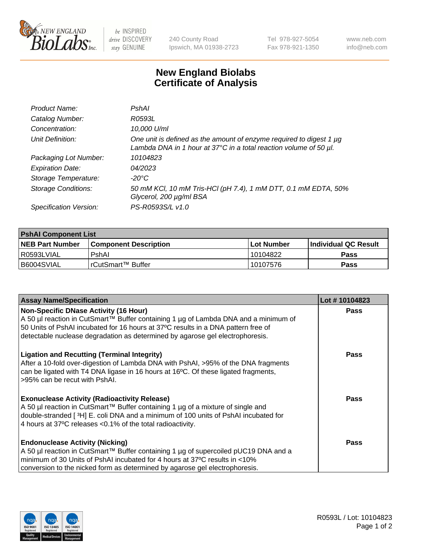

 $be$  INSPIRED drive DISCOVERY stay GENUINE

240 County Road Ipswich, MA 01938-2723 Tel 978-927-5054 Fax 978-921-1350 www.neb.com info@neb.com

## **New England Biolabs Certificate of Analysis**

| Product Name:              | PshAl                                                                                                                                    |
|----------------------------|------------------------------------------------------------------------------------------------------------------------------------------|
| Catalog Number:            | R0593L                                                                                                                                   |
| Concentration:             | 10,000 U/ml                                                                                                                              |
| Unit Definition:           | One unit is defined as the amount of enzyme required to digest 1 µg<br>Lambda DNA in 1 hour at 37°C in a total reaction volume of 50 µl. |
| Packaging Lot Number:      | 10104823                                                                                                                                 |
| <b>Expiration Date:</b>    | 04/2023                                                                                                                                  |
| Storage Temperature:       | $-20^{\circ}$ C                                                                                                                          |
| <b>Storage Conditions:</b> | 50 mM KCl, 10 mM Tris-HCl (pH 7.4), 1 mM DTT, 0.1 mM EDTA, 50%<br>Glycerol, 200 µg/ml BSA                                                |
| Specification Version:     | PS-R0593S/L v1.0                                                                                                                         |

| <b>PshAI Component List</b> |                         |              |                             |  |
|-----------------------------|-------------------------|--------------|-----------------------------|--|
| <b>NEB Part Number</b>      | l Component Description | l Lot Number | <b>Individual QC Result</b> |  |
| I R0593LVIAL                | PshAl                   | 10104822     | Pass                        |  |
| B6004SVIAL                  | l rCutSmart™ Buffer_    | 10107576     | Pass                        |  |

| <b>Assay Name/Specification</b>                                                                                                                                                                                                                                                                           | Lot #10104823 |
|-----------------------------------------------------------------------------------------------------------------------------------------------------------------------------------------------------------------------------------------------------------------------------------------------------------|---------------|
| <b>Non-Specific DNase Activity (16 Hour)</b><br>A 50 µl reaction in CutSmart™ Buffer containing 1 µg of Lambda DNA and a minimum of<br>50 Units of PshAI incubated for 16 hours at 37°C results in a DNA pattern free of<br>detectable nuclease degradation as determined by agarose gel electrophoresis. | Pass          |
| <b>Ligation and Recutting (Terminal Integrity)</b><br>After a 10-fold over-digestion of Lambda DNA with PshAI, >95% of the DNA fragments<br>can be ligated with T4 DNA ligase in 16 hours at 16°C. Of these ligated fragments,<br>>95% can be recut with PshAI.                                           | <b>Pass</b>   |
| <b>Exonuclease Activity (Radioactivity Release)</b><br>A 50 µl reaction in CutSmart™ Buffer containing 1 µg of a mixture of single and<br>double-stranded [3H] E. coli DNA and a minimum of 100 units of PshAI incubated for<br>4 hours at 37°C releases < 0.1% of the total radioactivity.               | Pass          |
| <b>Endonuclease Activity (Nicking)</b><br>A 50 µl reaction in CutSmart™ Buffer containing 1 µg of supercoiled pUC19 DNA and a<br>minimum of 30 Units of PshAI incubated for 4 hours at 37°C results in <10%<br>conversion to the nicked form as determined by agarose gel electrophoresis.                | Pass          |